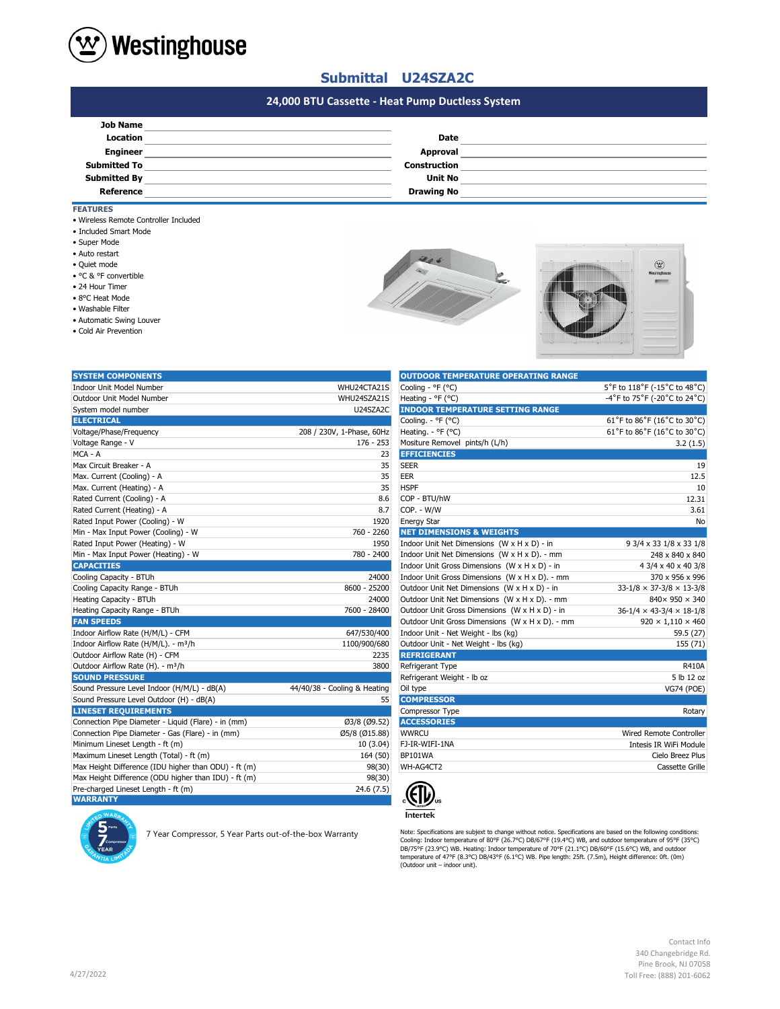

## **Submittal U24SZA2C**

## **#N/A 24,000 BTU Cassette - Heat Pump Ductless System**

| <b>Date</b>         |  |
|---------------------|--|
| Approval            |  |
| <b>Construction</b> |  |
| <b>Unit No</b>      |  |
| <b>Drawing No</b>   |  |
|                     |  |

### **FEATURES**

- Wireless Remote Controller Included
- Included Smart Mode
- Super Mode
- Auto restart
- Quiet mode
- °C & °F convertible
- 24 Hour Timer
- 8°C Heat Mode
- Washable Filter
- Automatic Swing Louver
- Cold Air Prevention





| <b>SYSTEM COMPONENTS</b>                             |                              | <b>OUTDOOR TEMPERATURE OPERATING RANGE</b>      |                                            |
|------------------------------------------------------|------------------------------|-------------------------------------------------|--------------------------------------------|
| <b>Indoor Unit Model Number</b>                      | WHU24CTA21S                  | Cooling - °F (°C)                               | 5°F to 118°F (-15°C to 48°C)               |
| Outdoor Unit Model Number                            | WHU24SZA21S                  | Heating - °F (°C)                               | -4°F to 75°F (-20°C to 24°C)               |
| System model number                                  | U24SZA2C                     | <b>INDOOR TEMPERATURE SETTING RANGE</b>         |                                            |
| <b>ELECTRICAL</b>                                    |                              | Cooling. - °F (°C)                              | 61°F to 86°F (16°C to 30°C)                |
| Voltage/Phase/Frequency                              | 208 / 230V, 1-Phase, 60Hz    | Heating. - °F (°C)                              | 61°F to 86°F (16°C to 30°C)                |
| Voltage Range - V                                    | 176 - 253                    | Mositure Removel pints/h (L/h)                  | 3.2(1.5)                                   |
| MCA - A                                              | 23                           | <b>EFFICIENCIES</b>                             |                                            |
| Max Circuit Breaker - A                              | 35                           | <b>SEER</b>                                     | 19                                         |
| Max. Current (Cooling) - A                           | 35                           | <b>EER</b>                                      | 12.5                                       |
| Max. Current (Heating) - A                           | 35                           | <b>HSPF</b>                                     | 10                                         |
| Rated Current (Cooling) - A                          | 8.6                          | COP - BTU/hW                                    | 12.31                                      |
| Rated Current (Heating) - A                          | 8.7                          | COP. - W/W                                      | 3.61                                       |
| Rated Input Power (Cooling) - W                      | 1920                         | <b>Energy Star</b>                              | No                                         |
| Min - Max Input Power (Cooling) - W                  | 760 - 2260                   | <b>NET DIMENSIONS &amp; WEIGHTS</b>             |                                            |
| Rated Input Power (Heating) - W                      | 1950                         | Indoor Unit Net Dimensions (W x H x D) - in     | 9 3/4 x 33 1/8 x 33 1/8                    |
| Min - Max Input Power (Heating) - W                  | 780 - 2400                   | Indoor Unit Net Dimensions (W x H x D). - mm    | 248 x 840 x 840                            |
| <b>CAPACITIES</b>                                    |                              | Indoor Unit Gross Dimensions (W x H x D) - in   | 4 3/4 x 40 x 40 3/8                        |
| Cooling Capacity - BTUh                              | 24000                        | Indoor Unit Gross Dimensions (W x H x D). - mm  | 370 x 956 x 996                            |
| Cooling Capacity Range - BTUh                        | 8600 - 25200                 | Outdoor Unit Net Dimensions (W x H x D) - in    | $33 - 1/8 \times 37 - 3/8 \times 13 - 3/8$ |
| Heating Capacity - BTUh                              | 24000                        | Outdoor Unit Net Dimensions (W x H x D). - mm   | 840×950×340                                |
| Heating Capacity Range - BTUh                        | 7600 - 28400                 | Outdoor Unit Gross Dimensions (W x H x D) - in  | $36-1/4 \times 43-3/4 \times 18-1/8$       |
| <b>FAN SPEEDS</b>                                    |                              | Outdoor Unit Gross Dimensions (W x H x D). - mm | $920 \times 1,110 \times 460$              |
| Indoor Airflow Rate (H/M/L) - CFM                    | 647/530/400                  | Indoor Unit - Net Weight - lbs (kg)             | 59.5 (27)                                  |
| Indoor Airflow Rate (H/M/L). - m <sup>3</sup> /h     | 1100/900/680                 | Outdoor Unit - Net Weight - Ibs (kg)            | 155 (71)                                   |
| Outdoor Airflow Rate (H) - CFM                       | 2235                         | <b>REFRIGERANT</b>                              |                                            |
| Outdoor Airflow Rate (H). - m <sup>3</sup> /h        | 3800                         | Refrigerant Type                                | <b>R410A</b>                               |
| <b>SOUND PRESSURE</b>                                |                              | Refrigerant Weight - Ib oz                      | 5 lb 12 oz                                 |
| Sound Pressure Level Indoor (H/M/L) - dB(A)          | 44/40/38 - Cooling & Heating | Oil type                                        | <b>VG74 (POE)</b>                          |
| Sound Pressure Level Outdoor (H) - dB(A)             | 55                           | <b>COMPRESSOR</b>                               |                                            |
| <b>LINESET REQUIREMENTS</b>                          |                              | Compressor Type                                 | Rotary                                     |
| Connection Pipe Diameter - Liquid (Flare) - in (mm)  | Ø3/8 (Ø9.52)                 | <b>ACCESSORIES</b>                              |                                            |
| Connection Pipe Diameter - Gas (Flare) - in (mm)     | Ø5/8 (Ø15.88)                | <b>WWRCU</b>                                    | Wired Remote Controller                    |
| Minimum Lineset Length - ft (m)                      | 10(3.04)                     | FJ-IR-WIFI-1NA                                  | Intesis IR WiFi Module                     |
| Maximum Lineset Length (Total) - ft (m)              | 164 (50)                     | <b>BP101WA</b>                                  | Cielo Breez Plus                           |
| Max Height Difference (IDU higher than ODU) - ft (m) | 98(30)                       | WH-AG4CT2                                       | Cassette Grille                            |
| Max Height Difference (ODU higher than IDU) - ft (m) | 98(30)                       |                                                 |                                            |
| Pre-charged Lineset Length - ft (m)                  | 24.6(7.5)                    |                                                 |                                            |
| <b>WARRANTY</b>                                      |                              | 41 Z/                                           |                                            |

| $\text{Cooling} - \text{F}$ (°C)                | 5 F TO 118 F (-15 C TO 48 C)               |
|-------------------------------------------------|--------------------------------------------|
| Heating - ${}^{\circ}$ F ( ${}^{\circ}$ C)      | -4°F to 75°F (-20°C to 24°C)               |
| <b>INDOOR TEMPERATURE SETTING RANGE</b>         |                                            |
| Cooling. - °F (°C)                              | 61°F to 86°F (16°C to 30°C)                |
| Heating. - °F (°C)                              | 61°F to 86°F (16°C to 30°C)                |
| Mositure Removel pints/h (L/h)                  | 3.2(1.5)                                   |
| <b>EFFICIENCIES</b>                             |                                            |
| <b>SEER</b>                                     | 19                                         |
| <b>EER</b>                                      | 12.5                                       |
| <b>HSPF</b>                                     | 10                                         |
| COP - BTU/hW                                    | 12.31                                      |
| COP. - W/W                                      | 3.61                                       |
| <b>Energy Star</b>                              | No                                         |
| <b>NET DIMENSIONS &amp; WEIGHTS</b>             |                                            |
| Indoor Unit Net Dimensions (W x H x D) - in     | 9 3/4 x 33 1/8 x 33 1/8                    |
| Indoor Unit Net Dimensions (W x H x D). - mm    | 248 x 840 x 840                            |
| Indoor Unit Gross Dimensions (W x H x D) - in   | 4 3/4 x 40 x 40 3/8                        |
| Indoor Unit Gross Dimensions (W x H x D). - mm  | 370 x 956 x 996                            |
| Outdoor Unit Net Dimensions (W x H x D) - in    | $33 - 1/8 \times 37 - 3/8 \times 13 - 3/8$ |
| Outdoor Unit Net Dimensions (W x H x D). - mm   | $840 \times 950 \times 340$                |
| Outdoor Unit Gross Dimensions (W x H x D) - in  | $36-1/4 \times 43-3/4 \times 18-1/8$       |
| Outdoor Unit Gross Dimensions (W x H x D). - mm | $920 \times 1,110 \times 460$              |
| Indoor Unit - Net Weight - lbs (kg)             | 59.5 (27)                                  |
| Outdoor Unit - Net Weight - Ibs (kg)            | 155 (71)                                   |
| <b>REFRIGERANT</b>                              |                                            |
| Refrigerant Type                                | R410A                                      |
| Refrigerant Weight - Ib oz                      | 5 lb 12 oz                                 |
| Oil type                                        | <b>VG74 (POE)</b>                          |
| <b>COMPRESSOR</b>                               |                                            |
| Compressor Type                                 | Rotary                                     |
| <b>ACCESSORIES</b>                              |                                            |
| <b>WWRCU</b>                                    | Wired Remote Controller                    |
| FJ-IR-WIFI-1NA                                  | Intesis IR WiFi Module                     |
| <b>BP101WA</b>                                  | Cielo Breez Plus                           |
| WH-AG4CT2                                       | Cassette Grille                            |
|                                                 |                                            |



Note: Specifications are subjext to change without notice. Specifications are based on the following conditions:<br>Cooling: Indoor temperature of 80°F (26.7°C) DB/67°F (19.4°C) WB, and outdoor temperature of 95°F (35°C)<br>DB/7

#### Contact Info 340 Changebridge Rd. Pine Brook, NJ 07058 Toll Free: (888) 201-6062

7 Year Compressor, 5 Year Parts out-of-the-box Warranty